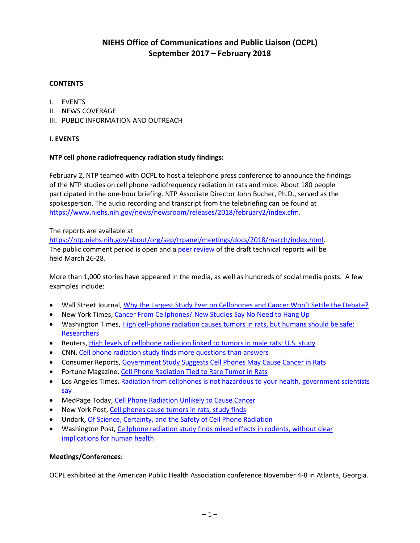# **NIEHS Office of Communications and Public Liaison (OCPL) September 2017 – February 2018**

### **CONTENTS**

- I. EVENTS
- II. NEWS COVERAGE
- III. PUBLIC INFORMATION AND OUTREACH

### **I. EVENTS**

### **NTP cell phone radiofrequency radiation study findings:**

February 2, NTP teamed with OCPL to host a telephone press conference to announce the findings of the NTP studies on cell phone radiofrequency radiation in rats and mice. About 180 people participated in the one-hour briefing. NTP Associate Director John Bucher, Ph.D., served as the spokesperson. The audio recording and transcript from the telebriefing can be found at [https://www.niehs.nih.gov/news/newsroom/releases/2018/february2/index.cfm.](https://www.niehs.nih.gov/news/newsroom/releases/2018/february2/index.cfm)

#### The reports are available at

[https://ntp.niehs.nih.gov/about/org/sep/trpanel/meetings/docs/2018/march/index.html.](https://ntp.niehs.nih.gov/about/org/sep/trpanel/meetings/docs/2018/march/index.html) The public comment period is open and a [peer review](https://ntp.niehs.nih.gov/about/org/sep/trpanel/meetings/index.html) of the draft technical reports will be held March 26-28.

More than 1,000 stories have appeared in the media, as well as hundreds of social media posts. A few examples include:

- Wall Street Journal, [Why the Largest Study Ever on Cellphones and Cancer Won't Settle the Debate?](https://www.wsj.com/articles/u-s-study-on-cellphone-radiation-wont-settle-debate-1517604284?mod=vocus&tesla=y)
- New York Times, [Cancer From Cellphones? New Studies Say No Need to Hang Up](https://www.nytimes.com/aponline/2018/02/02/health/ap-us-med-cellphones-cancer.html)
- Washington Times, [High cell-phone radiation causes tumors in rats, but humans should be safe:](https://www.washingtontimes.com/news/2018/feb/2/high-cell-phone-radiation-causes-tumors-rats-human/)  **[Researchers](https://www.washingtontimes.com/news/2018/feb/2/high-cell-phone-radiation-causes-tumors-rats-human/)**
- Reuters, [High levels of cellphone radiation linked to tumors in male rats: U.S. study](https://www.reuters.com/article/usa-health-mobilephones/update-3-high-levels-of-cellphone-radiation-linked-to-tumors-in-male-rats-u-s-study-idUSL2N1PS1OB)
- CNN, [Cell phone radiation study finds more questions than answers](http://edition.cnn.com/2018/02/02/health/cell-phone-radiation-cancer-nih-study-bn/index.html)
- Consumer Reports, [Government Study Suggests Cell Phones May Cause Cancer in Rats](https://www.consumerreports.org/radiation/government-study-suggests-cell-phones-may-cause-cancer-in-rats/)
- Fortune Magazine, [Cell Phone Radiation Tied to Rare Tumor in Rats](http://fortune.com/2018/02/03/cell-phone-radiation-cancer/)
- Los Angeles Times[, Radiation from cellphones is not hazardous to your health, government scientists](http://www.latimes.com/science/sciencenow/la-sci-sn-cell-phone-dangers-20180202-story.html)  [say](http://www.latimes.com/science/sciencenow/la-sci-sn-cell-phone-dangers-20180202-story.html)
- MedPage Today, [Cell Phone Radiation Unlikely to Cause Cancer](https://www.medpagetoday.com/publichealthpolicy/publichealth/70940)
- New York Post, [Cell phones cause tumors in rats, study finds](https://nypost.com/2018/02/02/cell-phones-cause-tumors-in-rats-study-finds/)
- Undark, [Of Science, Certainty, and the Safety of Cell Phone Radiation](https://undark.org/article/cell-phone-radiation-health-safety/)
- Washington Post, Cellphone radiation study [finds mixed effects in rodents, without clear](https://www.washingtonpost.com/news/to-your-health/wp/2018/02/02/cellphone-radiation-shows-mixed-effects-in-rodents-without-clear-implications-for-human-health/)  [implications for human health](https://www.washingtonpost.com/news/to-your-health/wp/2018/02/02/cellphone-radiation-shows-mixed-effects-in-rodents-without-clear-implications-for-human-health/)

### **Meetings/Conferences:**

OCPL exhibited at the American Public Health Association conference November 4-8 in Atlanta, Georgia.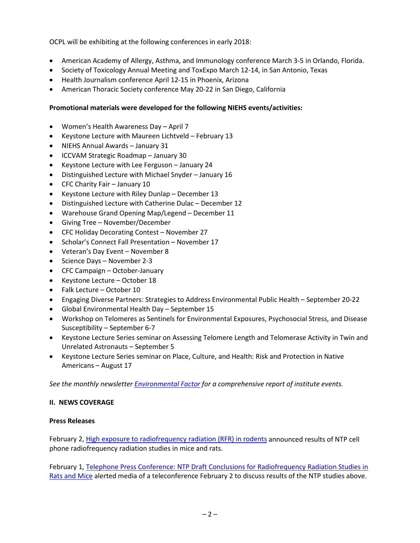OCPL will be exhibiting at the following conferences in early 2018:

- American Academy of Allergy, Asthma, and Immunology conference March 3-5 in Orlando, Florida.
- Society of Toxicology Annual Meeting and ToxExpo March 12-14, in San Antonio, Texas
- Health Journalism conference April 12-15 in Phoenix, Arizona
- American Thoracic Society conference May 20-22 in San Diego, California

### **Promotional materials were developed for the following NIEHS events/activities:**

- Women's Health Awareness Day April 7
- Keystone Lecture with Maureen Lichtveld February 13
- NIEHS Annual Awards January 31
- ICCVAM Strategic Roadmap January 30
- Keystone Lecture with Lee Ferguson January 24
- Distinguished Lecture with Michael Snyder January 16
- CFC Charity Fair January 10
- Keystone Lecture with Riley Dunlap December 13
- Distinguished Lecture with Catherine Dulac December 12
- Warehouse Grand Opening Map/Legend December 11
- Giving Tree November/December
- CFC Holiday Decorating Contest November 27
- Scholar's Connect Fall Presentation November 17
- Veteran's Day Event November 8
- Science Days November 2-3
- CFC Campaign October-January
- Keystone Lecture October 18
- Falk Lecture October 10
- Engaging Diverse Partners: Strategies to Address Environmental Public Health September 20-22
- Global Environmental Health Day September 15
- Workshop on Telomeres as Sentinels for Environmental Exposures, Psychosocial Stress, and Disease Susceptibility – September 6-7
- Keystone Lecture Series seminar on Assessing Telomere Length and Telomerase Activity in Twin and Unrelated Astronauts – September 5
- Keystone Lecture Series seminar on Place, Culture, and Health: Risk and Protection in Native Americans – August 17

*See the monthly newsletter [Environmental Factor](https://www.niehs.nih.gov/news/newsletter/2017/5/) for a comprehensive report of institute events.*

### **II. NEWS COVERAGE**

### **Press Releases**

February 2, [High exposure to radiofrequency radiation \(RFR\) in rodents](https://www.niehs.nih.gov/news/newsroom/releases/2018/february2/index.cfm) announced results of NTP cell phone radiofrequency radiation studies in mice and rats.

February 1, [Telephone Press Conference: NTP Draft Conclusions for Radiofrequency](https://www.niehs.nih.gov/news/newsroom/releases/2018/february1/index.cfm) Radiation Studies in [Rats and Mice](https://www.niehs.nih.gov/news/newsroom/releases/2018/february1/index.cfm) alerted media of a teleconference February 2 to discuss results of the NTP studies above.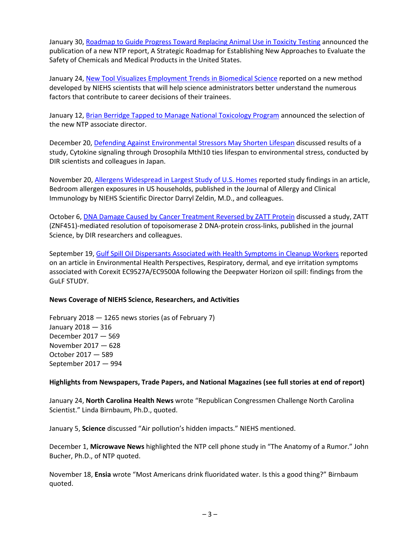January 30, [Roadmap to Guide Progress Toward Replacing Animal Use in Toxicity Testing](https://www.niehs.nih.gov/news/newsroom/releases/2018/january30/index.cfm) announced the publication of a new NTP report, A Strategic Roadmap for Establishing New Approaches to Evaluate the Safety of Chemicals and Medical Products in the United States.

January 24, [New Tool Visualizes Employment Trends in Biomedical Science](https://www.niehs.nih.gov/news/newsroom/releases/2018/january24/index.cfm) reported on a new method developed by NIEHS scientists that will help science administrators better understand the numerous factors that contribute to career decisions of their trainees.

January 12, [Brian Berridge Tapped to Manage National Toxicology Program](https://www.niehs.nih.gov/news/newsroom/releases/2018/january12/index.cfm) announced the selection of the new NTP associate director.

December 20, [Defending Against Environmental Stressors May Shorten Lifespan](https://www.niehs.nih.gov/news/newsroom/releases/2017/december20/index.cfm) discussed results of a study, Cytokine signaling through Drosophila Mthl10 ties lifespan to environmental stress, conducted by DIR scientists and colleagues in Japan.

November 20, [Allergens Widespread in Largest Study of U.S. Homes](https://www.niehs.nih.gov/news/newsroom/releases/2017/november30/index.cfm) reported study findings in an article, Bedroom allergen exposures in US households, published in the Journal of Allergy and Clinical Immunology by NIEHS Scientific Director Darryl Zeldin, M.D., and colleagues.

October 6, [DNA Damage Caused by Cancer Treatment Reversed by ZATT Protein](https://www.niehs.nih.gov/news/newsroom/releases/2017/october6/index.cfm) discussed a study, ZATT (ZNF451)-mediated resolution of topoisomerase 2 DNA-protein cross-links, published in the journal Science, by DIR researchers and colleagues.

September 19, [Gulf Spill Oil Dispersants Associated with Health Symptoms in Cleanup Workers](https://www.niehs.nih.gov/news/newsroom/releases/2017/september19/index.cfm) reported on an article in Environmental Health Perspectives, Respiratory, dermal, and eye irritation symptoms associated with Corexit EC9527A/EC9500A following the Deepwater Horizon oil spill: findings from the GuLF STUDY.

#### **News Coverage of NIEHS Science, Researchers, and Activities**

February 2018 — 1265 news stories (as of February 7) January 2018 — 316 December 2017 — 569 November 2017 — 628 October 2017 — 589 September 2017 — 994

#### **Highlights from Newspapers, Trade Papers, and National Magazines (see full stories at end of report)**

January 24, **North Carolina Health News** wrote "Republican Congressmen Challenge North Carolina Scientist." Linda Birnbaum, Ph.D., quoted.

January 5, **Science** discussed "Air pollution's hidden impacts." NIEHS mentioned.

December 1, **Microwave News** highlighted the NTP cell phone study in "The Anatomy of a Rumor." John Bucher, Ph.D., of NTP quoted.

November 18, **Ensia** wrote "Most Americans drink fluoridated water. Is this a good thing?" Birnbaum quoted.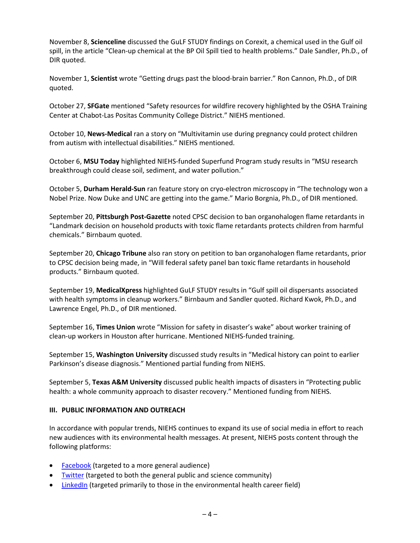November 8, **Scienceline** discussed the GuLF STUDY findings on Corexit, a chemical used in the Gulf oil spill, in the article "Clean-up chemical at the BP Oil Spill tied to health problems." Dale Sandler, Ph.D., of DIR quoted.

November 1, **Scientist** wrote "Getting drugs past the blood-brain barrier." Ron Cannon, Ph.D., of DIR quoted.

October 27, **SFGate** mentioned "Safety resources for wildfire recovery highlighted by the OSHA Training Center at Chabot-Las Positas Community College District." NIEHS mentioned.

October 10, **News-Medical** ran a story on "Multivitamin use during pregnancy could protect children from autism with intellectual disabilities." NIEHS mentioned.

October 6, **MSU Today** highlighted NIEHS-funded Superfund Program study results in "MSU research breakthrough could clease soil, sediment, and water pollution."

October 5, **Durham Herald-Sun** ran feature story on cryo-electron microscopy in "The technology won a Nobel Prize. Now Duke and UNC are getting into the game." Mario Borgnia, Ph.D., of DIR mentioned.

September 20, **Pittsburgh Post-Gazette** noted CPSC decision to ban organohalogen flame retardants in "Landmark decision on household products with toxic flame retardants protects children from harmful chemicals." Birnbaum quoted.

September 20, **Chicago Tribune** also ran story on petition to ban organohalogen flame retardants, prior to CPSC decision being made, in "Will federal safety panel ban toxic flame retardants in household products." Birnbaum quoted.

September 19, **MedicalXpress** highlighted GuLF STUDY results in "Gulf spill oil dispersants associated with health symptoms in cleanup workers." Birnbaum and Sandler quoted. Richard Kwok, Ph.D., and Lawrence Engel, Ph.D., of DIR mentioned.

September 16, **Times Union** wrote "Mission for safety in disaster's wake" about worker training of clean-up workers in Houston after hurricane. Mentioned NIEHS-funded training.

September 15, **Washington University** discussed study results in "Medical history can point to earlier Parkinson's disease diagnosis." Mentioned partial funding from NIEHS.

September 5, **Texas A&M University** discussed public health impacts of disasters in "Protecting public health: a whole community approach to disaster recovery." Mentioned funding from NIEHS.

### **III. PUBLIC INFORMATION AND OUTREACH**

In accordance with popular trends, NIEHS continues to expand its use of social media in effort to reach new audiences with its environmental health messages. At present, NIEHS posts content through the following platforms:

- [Facebook](https://www.facebook.com/NIH.NIEHS) (targeted to a more general audience)
- [Twitter](https://twitter.com/niehs) (targeted to both the general public and science community)
- [LinkedIn](https://www.linkedin.com/company/national-institute-of-environmental-health-sciences-niehs-) (targeted primarily to those in the environmental health career field)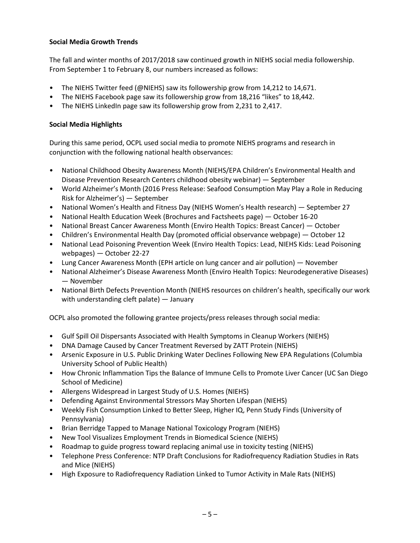### **Social Media Growth Trends**

The fall and winter months of 2017/2018 saw continued growth in NIEHS social media followership. From September 1 to February 8, our numbers increased as follows:

- The NIEHS Twitter feed (@NIEHS) saw its followership grow from 14,212 to 14,671.
- The NIEHS Facebook page saw its followership grow from 18,216 "likes" to 18,442.
- The NIEHS LinkedIn page saw its followership grow from 2,231 to 2,417.

### **Social Media Highlights**

During this same period, OCPL used social media to promote NIEHS programs and research in conjunction with the following national health observances:

- National Childhood Obesity Awareness Month (NIEHS/EPA Children's Environmental Health and Disease Prevention Research Centers childhood obesity webinar) — September
- World Alzheimer's Month (2016 Press Release: Seafood Consumption May Play a Role in Reducing Risk for Alzheimer's) — September
- National Women's Health and Fitness Day (NIEHS Women's Health research) September 27
- National Health Education Week (Brochures and Factsheets page) October 16-20
- National Breast Cancer Awareness Month (Enviro Health Topics: Breast Cancer) October
- Children's Environmental Health Day (promoted official observance webpage) October 12
- National Lead Poisoning Prevention Week (Enviro Health Topics: Lead, NIEHS Kids: Lead Poisoning webpages) — October 22-27
- Lung Cancer Awareness Month (EPH article on lung cancer and air pollution) November
- National Alzheimer's Disease Awareness Month (Enviro Health Topics: Neurodegenerative Diseases) — November
- National Birth Defects Prevention Month (NIEHS resources on children's health, specifically our work with understanding cleft palate) — January

OCPL also promoted the following grantee projects/press releases through social media:

- Gulf Spill Oil Dispersants Associated with Health Symptoms in Cleanup Workers (NIEHS)
- DNA Damage Caused by Cancer Treatment Reversed by ZATT Protein (NIEHS)
- Arsenic Exposure in U.S. Public Drinking Water Declines Following New EPA Regulations (Columbia University School of Public Health)
- How Chronic Inflammation Tips the Balance of Immune Cells to Promote Liver Cancer (UC San Diego School of Medicine)
- Allergens Widespread in Largest Study of U.S. Homes (NIEHS)
- Defending Against Environmental Stressors May Shorten Lifespan (NIEHS)
- Weekly Fish Consumption Linked to Better Sleep, Higher IQ, Penn Study Finds (University of Pennsylvania)
- Brian Berridge Tapped to Manage National Toxicology Program (NIEHS)
- New Tool Visualizes Employment Trends in Biomedical Science (NIEHS)
- Roadmap to guide progress toward replacing animal use in toxicity testing (NIEHS)
- Telephone Press Conference: NTP Draft Conclusions for Radiofrequency Radiation Studies in Rats and Mice (NIEHS)
- High Exposure to Radiofrequency Radiation Linked to Tumor Activity in Male Rats (NIEHS)